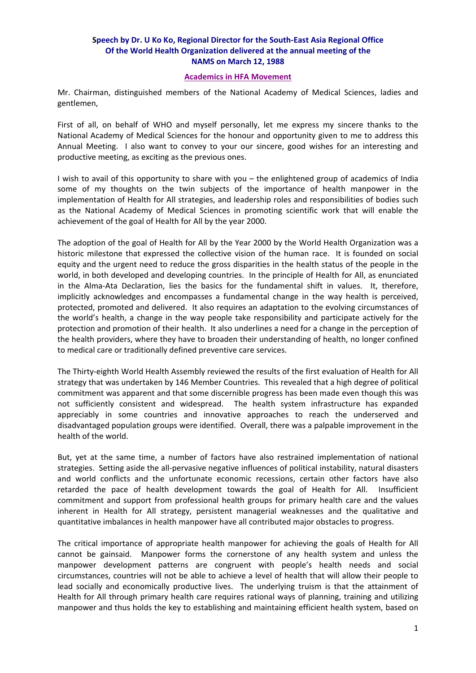## **Speech by Dr. U Ko Ko, Regional Director for the South‐East Asia Regional Office Of the World Health Organization delivered at the annual meeting of the NAMS on March 12, 1988**

## **Academics in HFA Movement**

Mr. Chairman, distinguished members of the National Academy of Medical Sciences, ladies and gentlemen,

First of all, on behalf of WHO and myself personally, let me express my sincere thanks to the National Academy of Medical Sciences for the honour and opportunity given to me to address this Annual Meeting. I also want to convey to your our sincere, good wishes for an interesting and productive meeting, as exciting as the previous ones.

I wish to avail of this opportunity to share with you – the enlightened group of academics of India some of my thoughts on the twin subjects of the importance of health manpower in the implementation of Health for All strategies, and leadership roles and responsibilities of bodies such as the National Academy of Medical Sciences in promoting scientific work that will enable the achievement of the goal of Health for All by the year 2000.

The adoption of the goal of Health for All by the Year 2000 by the World Health Organization was a historic milestone that expressed the collective vision of the human race. It is founded on social equity and the urgent need to reduce the gross disparities in the health status of the people in the world, in both developed and developing countries. In the principle of Health for All, as enunciated in the Alma-Ata Declaration, lies the basics for the fundamental shift in values. It, therefore, implicitly acknowledges and encompasses a fundamental change in the way health is perceived, protected, promoted and delivered. It also requires an adaptation to the evolving circumstances of the world's health, a change in the way people take responsibility and participate actively for the protection and promotion of their health. It also underlines a need for a change in the perception of the health providers, where they have to broaden their understanding of health, no longer confined to medical care or traditionally defined preventive care services.

The Thirty‐eighth World Health Assembly reviewed the results of the first evaluation of Health for All strategy that was undertaken by 146 Member Countries. This revealed that a high degree of political commitment was apparent and that some discernible progress has been made even though this was not sufficiently consistent and widespread. The health system infrastructure has expanded appreciably in some countries and innovative approaches to reach the underserved and disadvantaged population groups were identified. Overall, there was a palpable improvement in the health of the world.

But, yet at the same time, a number of factors have also restrained implementation of national strategies. Setting aside the all‐pervasive negative influences of political instability, natural disasters and world conflicts and the unfortunate economic recessions, certain other factors have also retarded the pace of health development towards the goal of Health for All. Insufficient commitment and support from professional health groups for primary health care and the values inherent in Health for All strategy, persistent managerial weaknesses and the qualitative and quantitative imbalances in health manpower have all contributed major obstacles to progress.

The critical importance of appropriate health manpower for achieving the goals of Health for All cannot be gainsaid. Manpower forms the cornerstone of any health system and unless the manpower development patterns are congruent with people's health needs and social circumstances, countries will not be able to achieve a level of health that will allow their people to lead socially and economically productive lives. The underlying truism is that the attainment of Health for All through primary health care requires rational ways of planning, training and utilizing manpower and thus holds the key to establishing and maintaining efficient health system, based on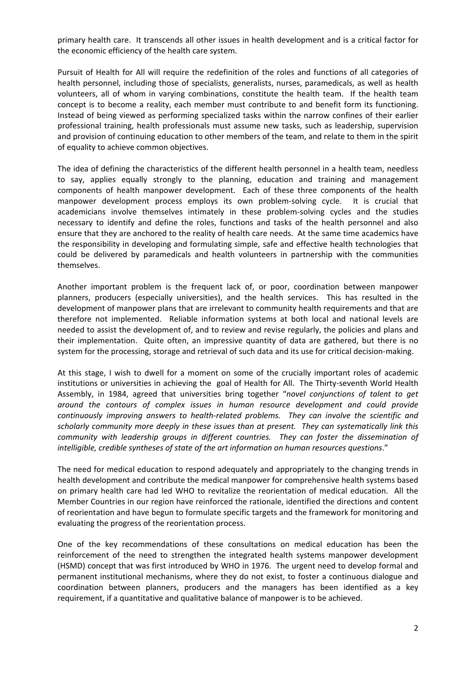primary health care. It transcends all other issues in health development and is a critical factor for the economic efficiency of the health care system.

Pursuit of Health for All will require the redefinition of the roles and functions of all categories of health personnel, including those of specialists, generalists, nurses, paramedicals, as well as health volunteers, all of whom in varying combinations, constitute the health team. If the health team concept is to become a reality, each member must contribute to and benefit form its functioning. Instead of being viewed as performing specialized tasks within the narrow confines of their earlier professional training, health professionals must assume new tasks, such as leadership, supervision and provision of continuing education to other members of the team, and relate to them in the spirit of equality to achieve common objectives.

The idea of defining the characteristics of the different health personnel in a health team, needless to say, applies equally strongly to the planning, education and training and management components of health manpower development. Each of these three components of the health manpower development process employs its own problem-solving cycle. It is crucial that academicians involve themselves intimately in these problem-solving cycles and the studies necessary to identify and define the roles, functions and tasks of the health personnel and also ensure that they are anchored to the reality of health care needs. At the same time academics have the responsibility in developing and formulating simple, safe and effective health technologies that could be delivered by paramedicals and health volunteers in partnership with the communities themselves.

Another important problem is the frequent lack of, or poor, coordination between manpower planners, producers (especially universities), and the health services. This has resulted in the development of manpower plans that are irrelevant to community health requirements and that are therefore not implemented. Reliable information systems at both local and national levels are needed to assist the development of, and to review and revise regularly, the policies and plans and their implementation. Quite often, an impressive quantity of data are gathered, but there is no system for the processing, storage and retrieval of such data and its use for critical decision-making.

At this stage, I wish to dwell for a moment on some of the crucially important roles of academic institutions or universities in achieving the goal of Health for All. The Thirty-seventh World Health Assembly, in 1984, agreed that universities bring together "*novel conjunctions of talent to get around the contours of complex issues in human resource development and could provide continuously improving answers to health‐related problems. They can involve the scientific and scholarly community more deeply in these issues than at present. They can systematically link this community with leadership groups in different countries. They can foster the dissemination of intelligible, credible syntheses of state of the art information on human resources questions*."

The need for medical education to respond adequately and appropriately to the changing trends in health development and contribute the medical manpower for comprehensive health systems based on primary health care had led WHO to revitalize the reorientation of medical education. All the Member Countries in our region have reinforced the rationale, identified the directions and content of reorientation and have begun to formulate specific targets and the framework for monitoring and evaluating the progress of the reorientation process.

One of the key recommendations of these consultations on medical education has been the reinforcement of the need to strengthen the integrated health systems manpower development (HSMD) concept that was first introduced by WHO in 1976. The urgent need to develop formal and permanent institutional mechanisms, where they do not exist, to foster a continuous dialogue and coordination between planners, producers and the managers has been identified as a key requirement, if a quantitative and qualitative balance of manpower is to be achieved.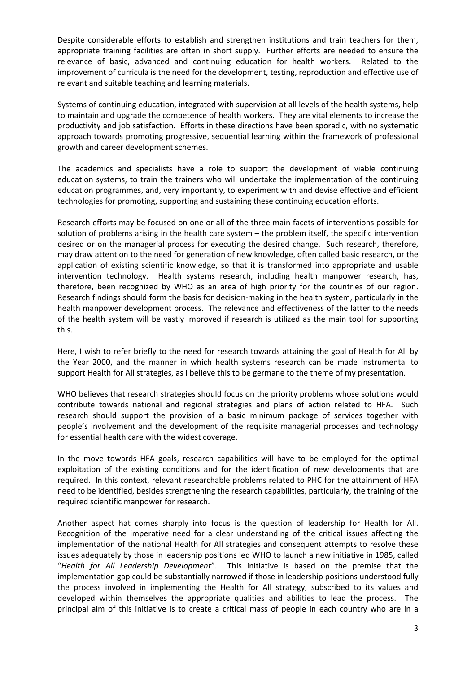Despite considerable efforts to establish and strengthen institutions and train teachers for them, appropriate training facilities are often in short supply. Further efforts are needed to ensure the relevance of basic, advanced and continuing education for health workers. Related to the improvement of curricula is the need for the development, testing, reproduction and effective use of relevant and suitable teaching and learning materials.

Systems of continuing education, integrated with supervision at all levels of the health systems, help to maintain and upgrade the competence of health workers. They are vital elements to increase the productivity and job satisfaction. Efforts in these directions have been sporadic, with no systematic approach towards promoting progressive, sequential learning within the framework of professional growth and career development schemes.

The academics and specialists have a role to support the development of viable continuing education systems, to train the trainers who will undertake the implementation of the continuing education programmes, and, very importantly, to experiment with and devise effective and efficient technologies for promoting, supporting and sustaining these continuing education efforts.

Research efforts may be focused on one or all of the three main facets of interventions possible for solution of problems arising in the health care system – the problem itself, the specific intervention desired or on the managerial process for executing the desired change. Such research, therefore, may draw attention to the need for generation of new knowledge, often called basic research, or the application of existing scientific knowledge, so that it is transformed into appropriate and usable intervention technology. Health systems research, including health manpower research, has, therefore, been recognized by WHO as an area of high priority for the countries of our region. Research findings should form the basis for decision-making in the health system, particularly in the health manpower development process. The relevance and effectiveness of the latter to the needs of the health system will be vastly improved if research is utilized as the main tool for supporting this.

Here, I wish to refer briefly to the need for research towards attaining the goal of Health for All by the Year 2000, and the manner in which health systems research can be made instrumental to support Health for All strategies, as I believe this to be germane to the theme of my presentation.

WHO believes that research strategies should focus on the priority problems whose solutions would contribute towards national and regional strategies and plans of action related to HFA. Such research should support the provision of a basic minimum package of services together with people's involvement and the development of the requisite managerial processes and technology for essential health care with the widest coverage.

In the move towards HFA goals, research capabilities will have to be employed for the optimal exploitation of the existing conditions and for the identification of new developments that are required. In this context, relevant researchable problems related to PHC for the attainment of HFA need to be identified, besides strengthening the research capabilities, particularly, the training of the required scientific manpower for research.

Another aspect hat comes sharply into focus is the question of leadership for Health for All. Recognition of the imperative need for a clear understanding of the critical issues affecting the implementation of the national Health for All strategies and consequent attempts to resolve these issues adequately by those in leadership positions led WHO to launch a new initiative in 1985, called "*Health for All Leadership Development*". This initiative is based on the premise that the implementation gap could be substantially narrowed if those in leadership positions understood fully the process involved in implementing the Health for All strategy, subscribed to its values and developed within themselves the appropriate qualities and abilities to lead the process. The principal aim of this initiative is to create a critical mass of people in each country who are in a